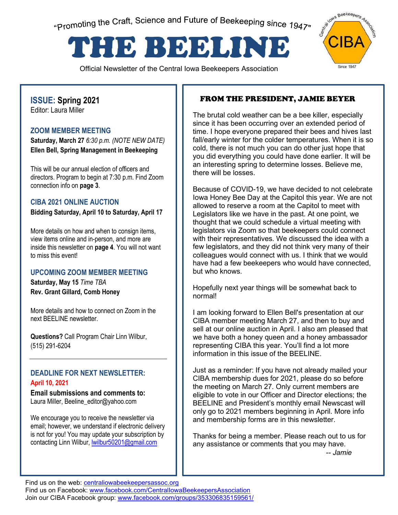"Promoting the Craft, Science and Future of Beekeeping since 1947"

# THE BEELINE

Official Newsletter of the Central Iowa Beekeepers Association



# **ISSUE: Spring 2021**

Editor: Laura Miller

#### **ZOOM MEMBER MEETING**

**Saturday, March 27** *6:30 p.m. (NOTE NEW DATE)* **Ellen Bell, Spring Management in Beekeeping**

This will be our annual election of officers and directors. Program to begin at 7:30 p.m. Find Zoom connection info on **page 3**.

#### **CIBA 2021 ONLINE AUCTION**

**Bidding Saturday, April 10 to Saturday, April 17**

More details on how and when to consign items, view items online and in-person, and more are inside this newsletter on **page 4**. You will not want to miss this event!

#### **UPCOMING ZOOM MEMBER MEETING**

**Saturday, May 15** *Time TBA* **Rev. Grant Gillard, Comb Honey**

More details and how to connect on Zoom in the next BEELINE newsletter.

**Questions?** Call Program Chair Linn Wilbur, (515) 291-6204

#### **DEADLINE FOR NEXT NEWSLETTER: April 10, 2021**

**Email submissions and comments to:**  Laura Miller, Beeline\_editor@yahoo.com

We encourage you to receive the newsletter via email; however, we understand if electronic delivery is not for you! You may update your subscription by contacting Linn Wilbur, **wilbur50201@gmail.com** 

## FROM THE PRESIDENT, JAMIE BEYER

The brutal cold weather can be a bee killer, especially since it has been occurring over an extended period of time. I hope everyone prepared their bees and hives last fall/early winter for the colder temperatures. When it is so cold, there is not much you can do other just hope that you did everything you could have done earlier. It will be an interesting spring to determine losses. Believe me, there will be losses.

Because of COVID-19, we have decided to not celebrate Iowa Honey Bee Day at the Capitol this year. We are not allowed to reserve a room at the Capitol to meet with Legislators like we have in the past. At one point, we thought that we could schedule a virtual meeting with legislators via Zoom so that beekeepers could connect with their representatives. We discussed the idea with a few legislators, and they did not think very many of their colleagues would connect with us. I think that we would have had a few beekeepers who would have connected, but who knows.

Hopefully next year things will be somewhat back to normal!

I am looking forward to Ellen Bell's presentation at our CIBA member meeting March 27, and then to buy and sell at our online auction in April. I also am pleased that we have both a honey queen and a honey ambassador representing CIBA this year. You'll find a lot more information in this issue of the BEELINE.

Just as a reminder: If you have not already mailed your CIBA membership dues for 2021, please do so before the meeting on March 27. Only current members are eligible to vote in our Officer and Director elections; the BEELINE and President's monthly email Newscast will only go to 2021 members beginning in April. More info and membership forms are in this newsletter.

Thanks for being a member. Please reach out to us for any assistance or comments that you may have. *-- Jamie* 

Find us on the web: **centraliowabeekeepersassoc.org** 

Find us on Facebook: www.facebook.com/CentralIowaBeekeepersAssociation Join our CIBA Facebook group: www.facebook.com/groups/353306835159561/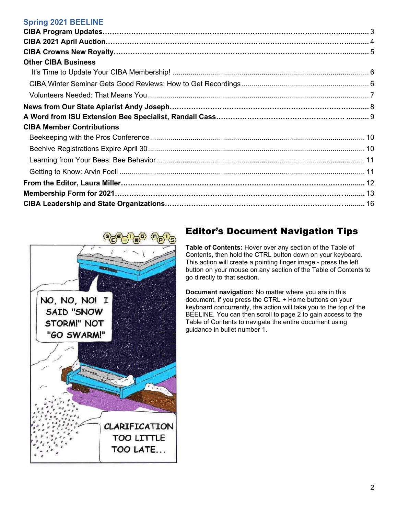#### **Spring 2021 BEELINE**

| <b>Other CIBA Business</b>       |  |
|----------------------------------|--|
|                                  |  |
|                                  |  |
|                                  |  |
|                                  |  |
|                                  |  |
| <b>CIBA Member Contributions</b> |  |
|                                  |  |
|                                  |  |
|                                  |  |
|                                  |  |
|                                  |  |
|                                  |  |
|                                  |  |



## Editor's Document Navigation Tips

**Table of Contents:** Hover over any section of the Table of Contents, then hold the CTRL button down on your keyboard. This action will create a pointing finger image - press the left button on your mouse on any section of the Table of Contents to go directly to that section.

**Document navigation:** No matter where you are in this document, if you press the CTRL + Home buttons on your keyboard concurrently, the action will take you to the top of the BEELINE. You can then scroll to page 2 to gain access to the Table of Contents to navigate the entire document using guidance in bullet number 1.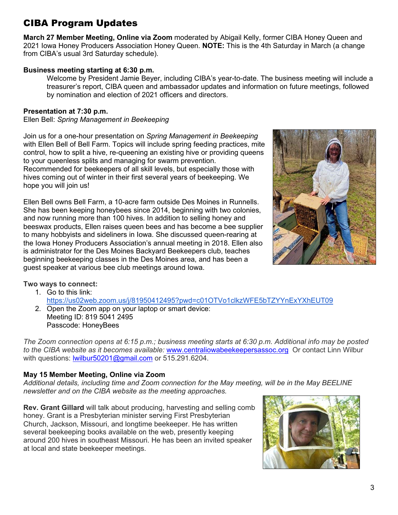# <span id="page-2-0"></span>CIBA Program Updates

**March 27 Member Meeting, Online via Zoom** moderated by Abigail Kelly, former CIBA Honey Queen and 2021 Iowa Honey Producers Association Honey Queen. **NOTE:** This is the 4th Saturday in March (a change from CIBA's usual 3rd Saturday schedule).

#### **Business meeting starting at 6:30 p.m.**

Welcome by President Jamie Beyer, including CIBA's year-to-date. The business meeting will include a treasurer's report, CIBA queen and ambassador updates and information on future meetings, followed by nomination and election of 2021 officers and directors.

#### **Presentation at 7:30 p.m.**

Ellen Bell: *Spring Management in Beekeeping*

Join us for a one-hour presentation on *Spring Management in Beekeeping* with Ellen Bell of Bell Farm. Topics will include spring feeding practices, mite control, how to split a hive, re-queening an existing hive or providing queens to your queenless splits and managing for swarm prevention. Recommended for beekeepers of all skill levels, but especially those with

hives coming out of winter in their first several years of beekeeping. We hope you will join us!

Ellen Bell owns Bell Farm, a 10-acre farm outside Des Moines in Runnells. She has been keeping honeybees since 2014, beginning with two colonies, and now running more than 100 hives. In addition to selling honey and beeswax products, Ellen raises queen bees and has become a bee supplier to many hobbyists and sideliners in Iowa. She discussed queen-rearing at the Iowa Honey Producers Association's annual meeting in 2018. Ellen also is administrator for the Des Moines Backyard Beekeepers club, teaches beginning beekeeping classes in the Des Moines area, and has been a guest speaker at various bee club meetings around Iowa.



#### **Two ways to connect:**

- 1. Go to this link: https://us02web.zoom.us/j/81950412495?pwd=c01OTVo1clkzWFE5bTZYYnExYXhEUT09
- 2. Open the Zoom app on your laptop or smart device: Meeting ID: 819 5041 2495 Passcode: HoneyBees

*The Zoom connection opens at 6:15 p.m.; business meeting starts at 6:30 p.m. Additional info may be posted to the CIBA website as it becomes available:* www.centraliowabeekeepersassoc.org Or contact Linn Wilbur with questions: lwilbur50201@gmail.com or 515.291.6204.

#### **May 15 Member Meeting, Online via Zoom**

*Additional details, including time and Zoom connection for the May meeting, will be in the May BEELINE newsletter and on the CIBA website as the meeting approaches.*

**Rev. Grant Gillard** will talk about producing, harvesting and selling comb honey. Grant is a Presbyterian minister serving First Presbyterian Church, Jackson, Missouri, and longtime beekeeper. He has written several beekeeping books available on the web, presently keeping around 200 hives in southeast Missouri. He has been an invited speaker at local and state beekeeper meetings.

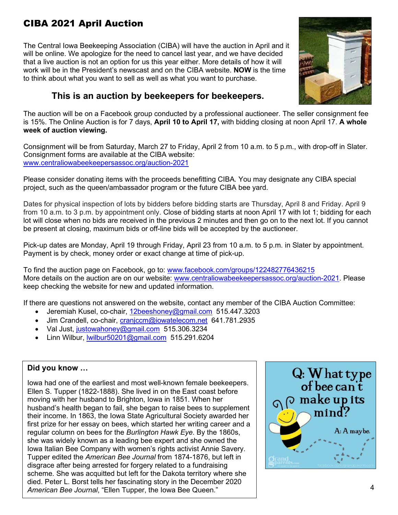# <span id="page-3-0"></span>CIBA 2021 April Auction

The Central Iowa Beekeeping Association (CIBA) will have the auction in April and it will be online. We apologize for the need to cancel last year, and we have decided that a live auction is not an option for us this year either. More details of how it will work will be in the President's newscast and on the CIBA website. **NOW** is the time to think about what you want to sell as well as what you want to purchase.



## **This is an auction by beekeepers for beekeepers.**

The auction will be on a Facebook group conducted by a professional auctioneer. The seller consignment fee is 15%. The Online Auction is for 7 days, **April 10 to April 17,** with bidding closing at noon April 17. **A whole week of auction viewing.**

Consignment will be from Saturday, March 27 to Friday, April 2 from 10 a.m. to 5 p.m., with drop-off in Slater. Consignment forms are available at the CIBA website: www.centraliowabeekeepersassoc.org/auction-2021

Please consider donating items with the proceeds benefitting CIBA. You may designate any CIBA special project, such as the queen/ambassador program or the future CIBA bee yard.

Dates for physical inspection of lots by bidders before bidding starts are Thursday, April 8 and Friday. April 9 from 10 a.m. to 3 p.m. by appointment only. Close of bidding starts at noon April 17 with lot 1; bidding for each lot will close when no bids are received in the previous 2 minutes and then go on to the next lot. If you cannot be present at closing, maximum bids or off-line bids will be accepted by the auctioneer.

Pick-up dates are Monday, April 19 through Friday, April 23 from 10 a.m. to 5 p.m. in Slater by appointment. Payment is by check, money order or exact change at time of pick-up.

To find the auction page on Facebook, go to: www.facebook.com/groups/122482776436215 More details on the auction are on our website: www.centraliowabeekeepersassoc.org/auction-2021. Please keep checking the website for new and updated information.

If there are questions not answered on the website, contact any member of the CIBA Auction Committee:

- Jeremiah Kusel, co-chair, 12beeshoney@gmail.com 515.447.3203
- Jim Crandell, co-chair, cranjccm@iowatelecom.net 641.781.2935
- Val Just, justowahoney@gmail.com 515.306.3234
- Linn Wilbur, lwilbur50201@gmail.com 515.291.6204

#### **Did you know …**

Iowa had one of the earliest and most well-known female beekeepers. Ellen S. Tupper (1822-1888). She lived in on the East coast before moving with her husband to Brighton, Iowa in 1851. When her husband's health began to fail, she began to raise bees to supplement their income. In 1863, the Iowa State Agricultural Society awarded her first prize for her essay on bees, which started her writing career and a regular column on bees for the *Burlington Hawk Eye*. By the 1860s, she was widely known as a leading bee expert and she owned the Iowa Italian Bee Company with women's rights activist Annie Savery. Tupper edited the *American Bee Journal* from 1874-1876, but left in disgrace after being arrested for forgery related to a fundraising scheme. She was acquitted but left for the Dakota territory where she died. Peter L. Borst tells her fascinating story in the December 2020 *American Bee Journal*, "Ellen Tupper, the Iowa Bee Queen."

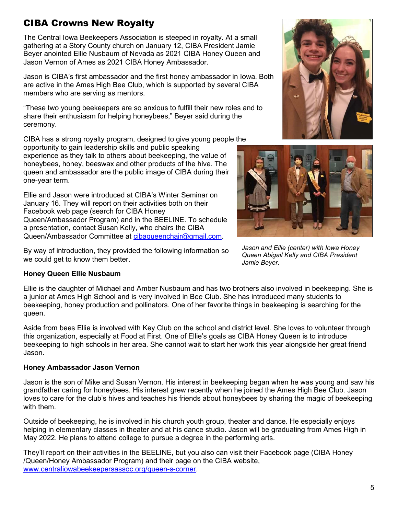# <span id="page-4-0"></span>CIBA Crowns New Royalty

The Central Iowa Beekeepers Association is steeped in royalty. At a small gathering at a Story County church on January 12, CIBA President Jamie Beyer anointed Ellie Nusbaum of Nevada as 2021 CIBA Honey Queen and Jason Vernon of Ames as 2021 CIBA Honey Ambassador.

Jason is CIBA's first ambassador and the first honey ambassador in Iowa. Both are active in the Ames High Bee Club, which is supported by several CIBA members who are serving as mentors.

"These two young beekeepers are so anxious to fulfill their new roles and to share their enthusiasm for helping honeybees," Beyer said during the ceremony.

CIBA has a strong royalty program, designed to give young people the

opportunity to gain leadership skills and public speaking experience as they talk to others about beekeeping, the value of honeybees, honey, beeswax and other products of the hive. The queen and ambassador are the public image of CIBA during their one-year term.

Ellie and Jason were introduced at CIBA's Winter Seminar on January 16. They will report on their activities both on their Facebook web page (search for CIBA Honey Queen/Ambassador Program) and in the BEELINE. To schedule a presentation, contact Susan Kelly, who chairs the CIBA Queen/Ambassador Committee at cibaqueenchair@gmail.com.

By way of introduction, they provided the following information so we could get to know them better.

#### **Honey Queen Ellie Nusbaum**

Ellie is the daughter of Michael and Amber Nusbaum and has two brothers also involved in beekeeping. She is a junior at Ames High School and is very involved in Bee Club. She has introduced many students to beekeeping, honey production and pollinators. One of her favorite things in beekeeping is searching for the queen.

Aside from bees Ellie is involved with Key Club on the school and district level. She loves to volunteer through this organization, especially at Food at First. One of Ellie's goals as CIBA Honey Queen is to introduce beekeeping to high schools in her area. She cannot wait to start her work this year alongside her great friend Jason.

#### **Honey Ambassador Jason Vernon**

Jason is the son of Mike and Susan Vernon. His interest in beekeeping began when he was young and saw his grandfather caring for honeybees. His interest grew recently when he joined the Ames High Bee Club. Jason loves to care for the club's hives and teaches his friends about honeybees by sharing the magic of beekeeping with them.

Outside of beekeeping, he is involved in his church youth group, theater and dance. He especially enjoys helping in elementary classes in theater and at his dance studio. Jason will be graduating from Ames High in May 2022. He plans to attend college to pursue a degree in the performing arts.

They'll report on their activities in the BEELINE, but you also can visit their Facebook page (CIBA Honey /Queen/Honey Ambassador Program) and their page on the CIBA website, www.centraliowabeekeepersassoc.org/queen-s-corner.





*Jason and Ellie (center) with Iowa Honey Queen Abigail Kelly and CIBA President Jamie Beyer.*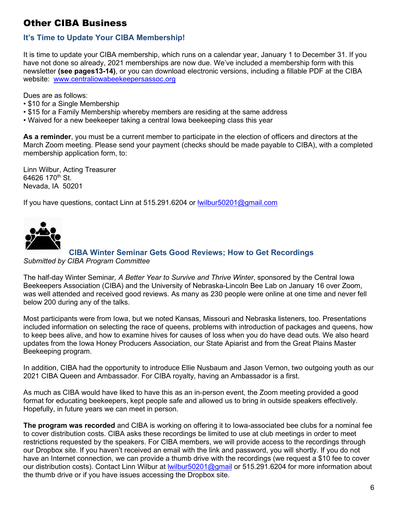## <span id="page-5-0"></span>Other CIBA Business

## <span id="page-5-1"></span>**It's Time to Update Your CIBA Membership!**

It is time to update your CIBA membership, which runs on a calendar year, January 1 to December 31. If you have not done so already, 2021 memberships are now due. We've included a membership form with this newsletter **(see pages13-14)**, or you can download electronic versions, including a fillable PDF at the CIBA website: www.centraliowabeekeepersassoc.org

Dues are as follows:

- \$10 for a Single Membership
- \$15 for a Family Membership whereby members are residing at the same address
- Waived for a new beekeeper taking a central Iowa beekeeping class this year

**As a reminder**, you must be a current member to participate in the election of officers and directors at the March Zoom meeting. Please send your payment (checks should be made payable to CIBA), with a completed membership application form, to:

Linn Wilbur, Acting Treasurer 64626 170<sup>th</sup> St. Nevada, IA 50201

If you have questions, contact Linn at 515.291.6204 or lwilbur50201@gmail.com

<span id="page-5-2"></span>

#### **CIBA Winter Seminar Gets Good Reviews; How to Get Recordings**  *Submitted by CIBA Program Committee*

The half-day Winter Seminar*, A Better Year to Survive and Thrive Winter*, sponsored by the Central Iowa Beekeepers Association (CIBA) and the University of Nebraska-Lincoln Bee Lab on January 16 over Zoom, was well attended and received good reviews. As many as 230 people were online at one time and never fell below 200 during any of the talks.

Most participants were from Iowa, but we noted Kansas, Missouri and Nebraska listeners, too. Presentations included information on selecting the race of queens, problems with introduction of packages and queens, how to keep bees alive, and how to examine hives for causes of loss when you do have dead outs. We also heard updates from the Iowa Honey Producers Association, our State Apiarist and from the Great Plains Master Beekeeping program.

In addition, CIBA had the opportunity to introduce Ellie Nusbaum and Jason Vernon, two outgoing youth as our 2021 CIBA Queen and Ambassador. For CIBA royalty, having an Ambassador is a first.

As much as CIBA would have liked to have this as an in-person event, the Zoom meeting provided a good format for educating beekeepers, kept people safe and allowed us to bring in outside speakers effectively. Hopefully, in future years we can meet in person.

**The program was recorded** and CIBA is working on offering it to Iowa-associated bee clubs for a nominal fee to cover distribution costs. CIBA asks these recordings be limited to use at club meetings in order to meet restrictions requested by the speakers. For CIBA members, we will provide access to the recordings through our Dropbox site. If you haven't received an email with the link and password, you will shortly. If you do not have an Internet connection, we can provide a thumb drive with the recordings (we request a \$10 fee to cover our distribution costs). Contact Linn Wilbur at lwilbur50201@gmail or 515.291.6204 for more information about the thumb drive or if you have issues accessing the Dropbox site.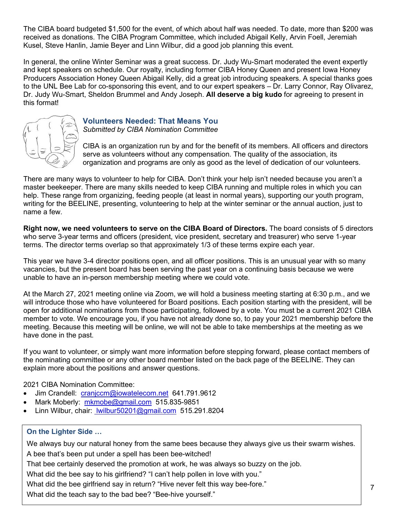The CIBA board budgeted \$1,500 for the event, of which about half was needed. To date, more than \$200 was received as donations. The CIBA Program Committee, which included Abigail Kelly, Arvin Foell, Jeremiah Kusel, Steve Hanlin, Jamie Beyer and Linn Wilbur, did a good job planning this event.

In general, the online Winter Seminar was a great success. Dr. Judy Wu-Smart moderated the event expertly and kept speakers on schedule. Our royalty, including former CIBA Honey Queen and present Iowa Honey Producers Association Honey Queen Abigail Kelly, did a great job introducing speakers. A special thanks goes to the UNL Bee Lab for co-sponsoring this event, and to our expert speakers – Dr. Larry Connor, Ray Olivarez, Dr. Judy Wu-Smart, Sheldon Brummel and Andy Joseph. **All deserve a big kudo** for agreeing to present in this format!



#### <span id="page-6-0"></span>**Volunteers Needed: That Means You**  *Submitted by CIBA Nomination Committee*

CIBA is an organization run by and for the benefit of its members. All officers and directors serve as volunteers without any compensation. The quality of the association, its organization and programs are only as good as the level of dedication of our volunteers.

There are many ways to volunteer to help for CIBA. Don't think your help isn't needed because you aren't a master beekeeper. There are many skills needed to keep CIBA running and multiple roles in which you can help. These range from organizing, feeding people (at least in normal years), supporting our youth program, writing for the BEELINE, presenting, volunteering to help at the winter seminar or the annual auction, just to name a few.

**Right now, we need volunteers to serve on the CIBA Board of Directors.** The board consists of 5 directors who serve 3-year terms and officers (president, vice president, secretary and treasurer) who serve 1-year terms. The director terms overlap so that approximately 1/3 of these terms expire each year.

This year we have 3-4 director positions open, and all officer positions. This is an unusual year with so many vacancies, but the present board has been serving the past year on a continuing basis because we were unable to have an in-person membership meeting where we could vote.

At the March 27, 2021 meeting online via Zoom, we will hold a business meeting starting at 6:30 p.m., and we will introduce those who have volunteered for Board positions. Each position starting with the president, will be open for additional nominations from those participating, followed by a vote. You must be a current 2021 CIBA member to vote. We encourage you, if you have not already done so, to pay your 2021 membership before the meeting. Because this meeting will be online, we will not be able to take memberships at the meeting as we have done in the past.

If you want to volunteer, or simply want more information before stepping forward, please contact members of the nominating committee or any other board member listed on the back page of the BEELINE. They can explain more about the positions and answer questions.

2021 CIBA Nomination Committee:

- Jim Crandell: cranjccm@iowatelecom.net 641.791.9612
- Mark Moberly: mkmobe@gmail.com 515.835-9851
- Linn Wilbur, chair: wilbur50201@gmail.com 515.291.8204

#### **On the Lighter Side …**

We always buy our natural honey from the same bees because they always give us their swarm wishes. A bee that's been put under a spell has been bee-witched!

That bee certainly deserved the promotion at work, he was always so buzzy on the job.

What did the bee say to his girlfriend? "I can't help pollen in love with you."

What did the bee girlfriend say in return? "Hive never felt this way bee-fore."

What did the teach say to the bad bee? "Bee-hive yourself."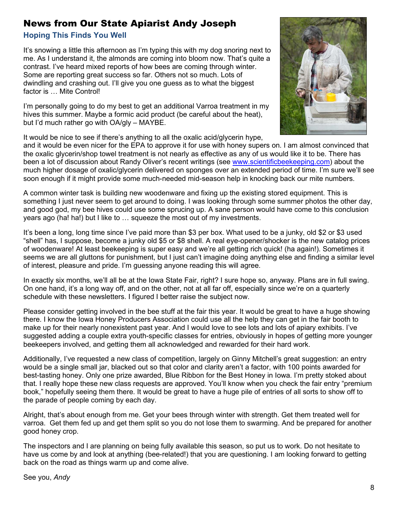## <span id="page-7-0"></span>News from Our State Apiarist Andy Joseph

#### **Hoping This Finds You Well**

It's snowing a little this afternoon as I'm typing this with my dog snoring next to me. As I understand it, the almonds are coming into bloom now. That's quite a contrast. I've heard mixed reports of how bees are coming through winter. Some are reporting great success so far. Others not so much. Lots of dwindling and crashing out. I'll give you one guess as to what the biggest factor is … Mite Control!

I'm personally going to do my best to get an additional Varroa treatment in my hives this summer. Maybe a formic acid product (be careful about the heat), but I'd much rather go with OA/gly – MAYBE.



It would be nice to see if there's anything to all the oxalic acid/glycerin hype,

and it would be even nicer for the EPA to approve it for use with honey supers on. I am almost convinced that the oxalic glycerin/shop towel treatment is not nearly as effective as any of us would like it to be. There has been a lot of discussion about Randy Oliver's recent writings (see www.scientificbeekeeping.com) about the much higher dosage of oxalic/glycerin delivered on sponges over an extended period of time. I'm sure we'll see soon enough if it might provide some much-needed mid-season help in knocking back our mite numbers.

A common winter task is building new woodenware and fixing up the existing stored equipment. This is something I just never seem to get around to doing. I was looking through some summer photos the other day, and good god, my bee hives could use some sprucing up. A sane person would have come to this conclusion years ago (ha! ha!) but I like to … squeeze the most out of my investments.

It's been a long, long time since I've paid more than \$3 per box. What used to be a junky, old \$2 or \$3 used "shell" has, I suppose, become a junky old \$5 or \$8 shell. A real eye-opener/shocker is the new catalog prices of woodenware! At least beekeeping is super easy and we're all getting rich quick! (ha again!). Sometimes it seems we are all gluttons for punishment, but I just can't imagine doing anything else and finding a similar level of interest, pleasure and pride. I'm guessing anyone reading this will agree.

In exactly six months, we'll all be at the Iowa State Fair, right? I sure hope so, anyway. Plans are in full swing. On one hand, it's a long way off, and on the other, not at all far off, especially since we're on a quarterly schedule with these newsletters. I figured I better raise the subject now.

Please consider getting involved in the bee stuff at the fair this year. It would be great to have a huge showing there. I know the Iowa Honey Producers Association could use all the help they can get in the fair booth to make up for their nearly nonexistent past year. And I would love to see lots and lots of apiary exhibits. I've suggested adding a couple extra youth-specific classes for entries, obviously in hopes of getting more younger beekeepers involved, and getting them all acknowledged and rewarded for their hard work.

Additionally, I've requested a new class of competition, largely on Ginny Mitchell's great suggestion: an entry would be a single small jar, blacked out so that color and clarity aren't a factor, with 100 points awarded for best-tasting honey. Only one prize awarded, Blue Ribbon for the Best Honey in Iowa. I'm pretty stoked about that. I really hope these new class requests are approved. You'll know when you check the fair entry "premium book," hopefully seeing them there. It would be great to have a huge pile of entries of all sorts to show off to the parade of people coming by each day.

Alright, that's about enough from me. Get your bees through winter with strength. Get them treated well for varroa. Get them fed up and get them split so you do not lose them to swarming. And be prepared for another good honey crop.

The inspectors and I are planning on being fully available this season, so put us to work. Do not hesitate to have us come by and look at anything (bee-related!) that you are questioning. I am looking forward to getting back on the road as things warm up and come alive.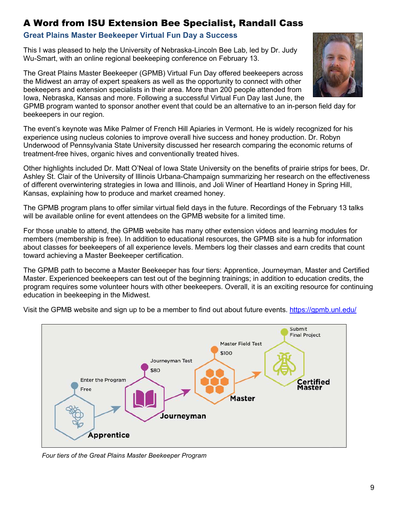## <span id="page-8-0"></span>A Word from ISU Extension Bee Specialist, Randall Cass

#### **Great Plains Master Beekeeper Virtual Fun Day a Success**

This I was pleased to help the University of Nebraska-Lincoln Bee Lab, led by Dr. Judy Wu-Smart, with an online regional beekeeping conference on February 13.

The Great Plains Master Beekeeper (GPMB) Virtual Fun Day offered beekeepers across the Midwest an array of expert speakers as well as the opportunity to connect with other beekeepers and extension specialists in their area. More than 200 people attended from Iowa, Nebraska, Kansas and more. Following a successful Virtual Fun Day last June, the

GPMB program wanted to sponsor another event that could be an alternative to an in-person field day for beekeepers in our region.

The event's keynote was Mike Palmer of French Hill Apiaries in Vermont. He is widely recognized for his experience using nucleus colonies to improve overall hive success and honey production. Dr. Robyn Underwood of Pennsylvania State University discussed her research comparing the economic returns of treatment-free hives, organic hives and conventionally treated hives.

Other highlights included Dr. Matt O'Neal of Iowa State University on the benefits of prairie strips for bees, Dr. Ashley St. Clair of the University of Illinois Urbana-Champaign summarizing her research on the effectiveness of different overwintering strategies in Iowa and Illinois, and Joli Winer of Heartland Honey in Spring Hill, Kansas, explaining how to produce and market creamed honey.

The GPMB program plans to offer similar virtual field days in the future. Recordings of the February 13 talks will be available online for event attendees on the GPMB website for a limited time.

For those unable to attend, the GPMB website has many other extension videos and learning modules for members (membership is free). In addition to educational resources, the GPMB site is a hub for information about classes for beekeepers of all experience levels. Members log their classes and earn credits that count toward achieving a Master Beekeeper certification.

The GPMB path to become a Master Beekeeper has four tiers: Apprentice, Journeyman, Master and Certified Master. Experienced beekeepers can test out of the beginning trainings; in addition to education credits, the program requires some volunteer hours with other beekeepers. Overall, it is an exciting resource for continuing education in beekeeping in the Midwest.





*Four tiers of the Great Plains Master Beekeeper Program* 

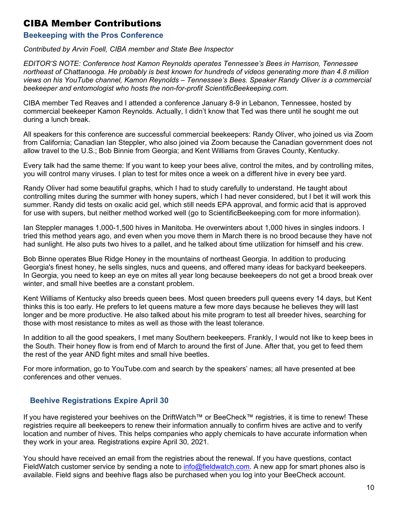## <span id="page-9-0"></span>CIBA Member Contributions

#### <span id="page-9-1"></span>**Beekeeping with the Pros Conference**

*Contributed by Arvin Foell, CIBA member and State Bee Inspector* 

*EDITOR'S NOTE: Conference host Kamon Reynolds operates Tennessee's Bees in Harrison, Tennessee northeast of Chattanooga. He probably is best known for hundreds of videos generating more than 4.8 million views on his YouTube channel, Kamon Reynolds – Tennessee's Bees. Speaker Randy Oliver is a commercial beekeeper and entomologist who hosts the non-for-profit ScientificBeekeeping.com.* 

CIBA member Ted Reaves and I attended a conference January 8-9 in Lebanon, Tennessee, hosted by commercial beekeeper Kamon Reynolds. Actually, I didn't know that Ted was there until he sought me out during a lunch break.

All speakers for this conference are successful commercial beekeepers: Randy Oliver, who joined us via Zoom from California; Canadian Ian Steppler, who also joined via Zoom because the Canadian government does not allow travel to the U.S.; Bob Binnie from Georgia; and Kent Williams from Graves County, Kentucky.

Every talk had the same theme: If you want to keep your bees alive, control the mites, and by controlling mites, you will control many viruses. I plan to test for mites once a week on a different hive in every bee yard.

Randy Oliver had some beautiful graphs, which I had to study carefully to understand. He taught about controlling mites during the summer with honey supers, which I had never considered, but I bet it will work this summer. Randy did tests on oxalic acid gel, which still needs EPA approval, and formic acid that is approved for use with supers, but neither method worked well (go to ScientificBeekeeping.com for more information).

Ian Steppler manages 1,000-1,500 hives in Manitoba. He overwinters about 1,000 hives in singles indoors. I tried this method years ago, and even when you move them in March there is no brood because they have not had sunlight. He also puts two hives to a pallet, and he talked about time utilization for himself and his crew.

Bob Binne operates Blue Ridge Honey in the mountains of northeast Georgia. In addition to producing Georgia's finest honey, he sells singles, nucs and queens, and offered many ideas for backyard beekeepers. In Georgia, you need to keep an eye on mites all year long because beekeepers do not get a brood break over winter, and small hive beetles are a constant problem.

Kent Williams of Kentucky also breeds queen bees. Most queen breeders pull queens every 14 days, but Kent thinks this is too early. He prefers to let queens mature a few more days because he believes they will last longer and be more productive. He also talked about his mite program to test all breeder hives, searching for those with most resistance to mites as well as those with the least tolerance.

In addition to all the good speakers, I met many Southern beekeepers. Frankly, I would not like to keep bees in the South. Their honey flow is from end of March to around the first of June. After that, you get to feed them the rest of the year AND fight mites and small hive beetles.

For more information, go to YouTube.com and search by the speakers' names; all have presented at bee conferences and other venues.

#### <span id="page-9-2"></span> **Beehive Registrations Expire April 30**

If you have registered your beehives on the DriftWatch™ or BeeCheck™ registries, it is time to renew! These registries require all beekeepers to renew their information annually to confirm hives are active and to verify location and number of hives. This helps companies who apply chemicals to have accurate information when they work in your area. Registrations expire April 30, 2021.

You should have received an email from the registries about the renewal. If you have questions, contact FieldWatch customer service by sending a note to info@fieldwatch.com. A new app for smart phones also is available. Field signs and beehive flags also be purchased when you log into your BeeCheck account.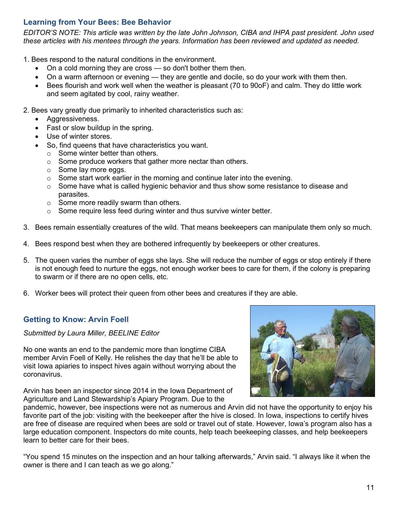#### <span id="page-10-0"></span>**Learning from Your Bees: Bee Behavior**

*EDITOR'S NOTE: This article was written by the late John Johnson, CIBA and IHPA past president. John used these articles with his mentees through the years. Information has been reviewed and updated as needed.* 

1. Bees respond to the natural conditions in the environment.

- On a cold morning they are cross so don't bother them then.
- On a warm afternoon or evening they are gentle and docile, so do your work with them then.
- Bees flourish and work well when the weather is pleasant (70 to 90oF) and calm. They do little work and seem agitated by cool, rainy weather.

2. Bees vary greatly due primarily to inherited characteristics such as:

- Aggressiveness.
- Fast or slow buildup in the spring.
- Use of winter stores.
- So, find queens that have characteristics you want.
	- $\circ$  Some winter better than others.
	- o Some produce workers that gather more nectar than others.
	- o Some lay more eggs.
	- $\circ$  Some start work earlier in the morning and continue later into the evening.
	- $\circ$  Some have what is called hygienic behavior and thus show some resistance to disease and parasites.
	- o Some more readily swarm than others.
	- o Some require less feed during winter and thus survive winter better.
- 3. Bees remain essentially creatures of the wild. That means beekeepers can manipulate them only so much.
- 4. Bees respond best when they are bothered infrequently by beekeepers or other creatures.
- 5. The queen varies the number of eggs she lays. She will reduce the number of eggs or stop entirely if there is not enough feed to nurture the eggs, not enough worker bees to care for them, if the colony is preparing to swarm or if there are no open cells, etc.
- 6. Worker bees will protect their queen from other bees and creatures if they are able.

#### <span id="page-10-1"></span>**Getting to Know: Arvin Foell**

*Submitted by Laura Miller, BEELINE Editor* 

No one wants an end to the pandemic more than longtime CIBA member Arvin Foell of Kelly. He relishes the day that he'll be able to visit Iowa apiaries to inspect hives again without worrying about the coronavirus.

Arvin has been an inspector since 2014 in the Iowa Department of Agriculture and Land Stewardship's Apiary Program. Due to the



pandemic, however, bee inspections were not as numerous and Arvin did not have the opportunity to enjoy his favorite part of the job: visiting with the beekeeper after the hive is closed. In Iowa, inspections to certify hives are free of disease are required when bees are sold or travel out of state. However, Iowa's program also has a large education component. Inspectors do mite counts, help teach beekeeping classes, and help beekeepers learn to better care for their bees.

"You spend 15 minutes on the inspection and an hour talking afterwards," Arvin said. "I always like it when the owner is there and I can teach as we go along."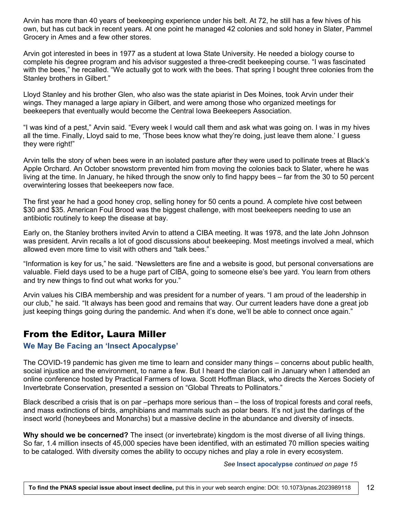Arvin has more than 40 years of beekeeping experience under his belt. At 72, he still has a few hives of his own, but has cut back in recent years. At one point he managed 42 colonies and sold honey in Slater, Pammel Grocery in Ames and a few other stores.

Arvin got interested in bees in 1977 as a student at Iowa State University. He needed a biology course to complete his degree program and his advisor suggested a three-credit beekeeping course. "I was fascinated with the bees," he recalled. "We actually got to work with the bees. That spring I bought three colonies from the Stanley brothers in Gilbert."

Lloyd Stanley and his brother Glen, who also was the state apiarist in Des Moines, took Arvin under their wings. They managed a large apiary in Gilbert, and were among those who organized meetings for beekeepers that eventually would become the Central Iowa Beekeepers Association.

"I was kind of a pest," Arvin said. "Every week I would call them and ask what was going on. I was in my hives all the time. Finally, Lloyd said to me, 'Those bees know what they're doing, just leave them alone.' I guess they were right!"

Arvin tells the story of when bees were in an isolated pasture after they were used to pollinate trees at Black's Apple Orchard. An October snowstorm prevented him from moving the colonies back to Slater, where he was living at the time. In January, he hiked through the snow only to find happy bees – far from the 30 to 50 percent overwintering losses that beekeepers now face.

The first year he had a good honey crop, selling honey for 50 cents a pound. A complete hive cost between \$30 and \$35. American Foul Brood was the biggest challenge, with most beekeepers needing to use an antibiotic routinely to keep the disease at bay.

Early on, the Stanley brothers invited Arvin to attend a CIBA meeting. It was 1978, and the late John Johnson was president. Arvin recalls a lot of good discussions about beekeeping. Most meetings involved a meal, which allowed even more time to visit with others and "talk bees."

"Information is key for us," he said. "Newsletters are fine and a website is good, but personal conversations are valuable. Field days used to be a huge part of CIBA, going to someone else's bee yard. You learn from others and try new things to find out what works for you."

Arvin values his CIBA membership and was president for a number of years. "I am proud of the leadership in our club," he said. "It always has been good and remains that way. Our current leaders have done a great job just keeping things going during the pandemic. And when it's done, we'll be able to connect once again."

## <span id="page-11-0"></span>From the Editor, Laura Miller

#### **We May Be Facing an 'Insect Apocalypse'**

The COVID-19 pandemic has given me time to learn and consider many things – concerns about public health, social injustice and the environment, to name a few. But I heard the clarion call in January when I attended an online conference hosted by Practical Farmers of Iowa. Scott Hoffman Black, who directs the Xerces Society of Invertebrate Conservation, presented a session on "Global Threats to Pollinators."

Black described a crisis that is on par –perhaps more serious than – the loss of tropical forests and coral reefs, and mass extinctions of birds, amphibians and mammals such as polar bears. It's not just the darlings of the insect world (honeybees and Monarchs) but a massive decline in the abundance and diversity of insects.

**Why should we be concerned?** The insect (or invertebrate) kingdom is the most diverse of all living things. So far, 1.4 million insects of 45,000 species have been identified, with an estimated 70 million species waiting to be cataloged. With diversity comes the ability to occupy niches and play a role in every ecosystem.

#### *See* **Insect apocalypse** *continued on page 15*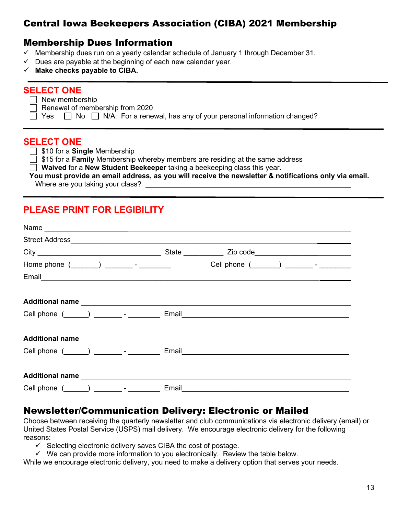## Central Iowa Beekeepers Association (CIBA) 2021 Membership

## <span id="page-12-0"></span>Membership Dues Information

- $\checkmark$  Membership dues run on a yearly calendar schedule of January 1 through December 31.
- $\checkmark$  Dues are payable at the beginning of each new calendar year.
- **Make checks payable to CIBA.**

## **SELECT ONE**

 $\Box$  New membership

Renewal of membership from 2020

 $\Box$  Yes  $\Box$  No  $\Box$  N/A: For a renewal, has any of your personal information changed?

#### **SELECT ONE**

□ \$10 for a **Single** Membership

 $\overline{\Box}$  \$15 for a **Family** Membership whereby members are residing at the same address

**Waived** for a **New Student Beekeeper** taking a beekeeping class this year.

#### **You must provide an email address, as you will receive the newsletter & notifications only via email.**

Where are you taking your class?

## **PLEASE PRINT FOR LEGIBILITY**

| Home phone $(\_\_)$ ________ - _________                                          |       | Cell phone (_______) _________- - ________ |  |
|-----------------------------------------------------------------------------------|-------|--------------------------------------------|--|
|                                                                                   |       |                                            |  |
|                                                                                   |       |                                            |  |
| Cell phone (______) _________- _ _________ Email_________________________________ |       |                                            |  |
|                                                                                   |       |                                            |  |
| Cell phone $($ $)$ $)$ $     -$                                                   |       |                                            |  |
|                                                                                   |       |                                            |  |
| Cell phone (______) _________- - _________                                        | Email |                                            |  |

## Newsletter/Communication Delivery: Electronic or Mailed

Choose between receiving the quarterly newsletter and club communications via electronic delivery (email) or United States Postal Service (USPS) mail delivery. We encourage electronic delivery for the following reasons:

- $\checkmark$  Selecting electronic delivery saves CIBA the cost of postage.
- $\checkmark$  We can provide more information to you electronically. Review the table below.

While we encourage electronic delivery, you need to make a delivery option that serves your needs.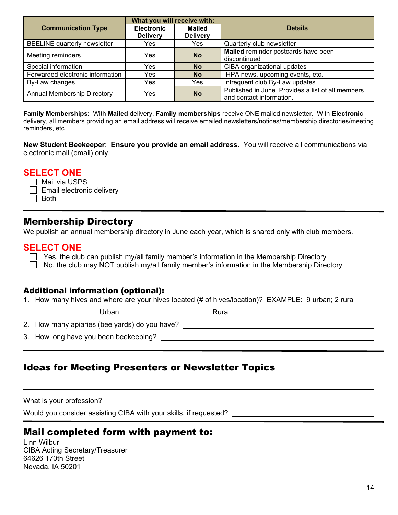|                                     | What you will receive with: |                 |                                                    |
|-------------------------------------|-----------------------------|-----------------|----------------------------------------------------|
| <b>Communication Type</b>           | <b>Electronic</b>           | <b>Mailed</b>   | <b>Details</b>                                     |
|                                     | <b>Delivery</b>             | <b>Delivery</b> |                                                    |
| <b>BEELINE</b> quarterly newsletter | Yes                         | Yes             | Quarterly club newsletter                          |
| Meeting reminders                   | Yes                         | <b>No</b>       | Mailed reminder postcards have been                |
|                                     |                             |                 | discontinued                                       |
| Special information                 | Yes                         | <b>No</b>       | CIBA organizational updates                        |
| Forwarded electronic information    | Yes                         | <b>No</b>       | IHPA news, upcoming events, etc.                   |
| By-Law changes                      | Yes                         | Yes             | Infrequent club By-Law updates                     |
| <b>Annual Membership Directory</b>  | Yes                         | <b>No</b>       | Published in June. Provides a list of all members, |
|                                     |                             |                 | and contact information.                           |

**Family Memberships**: With **Mailed** delivery, **Family memberships** receive ONE mailed newsletter. With **Electronic** delivery, all members providing an email address will receive emailed newsletters/notices/membership directories/meeting reminders, etc

**New Student Beekeeper**: **Ensure you provide an email address**. You will receive all communications via electronic mail (email) only.

#### **SELECT ONE**

 $\Box$  Mail via USPS Email electronic delivery  $\Box$  Both

## Membership Directory

We publish an annual membership directory in June each year, which is shared only with club members.

#### **SELECT ONE**

 $\Box$  Yes, the club can publish my/all family member's information in the Membership Directory  $\Box$  No, the club may NOT publish my/all family member's information in the Membership Directory

#### Additional information (optional):

1. How many hives and where are your hives located (# of hives/location)? EXAMPLE: 9 urban; 2 rural

<u>Den Barban (Community Press, 2014)</u><br>Rural

2. How many apiaries (bee yards) do you have?

3. How long have you been beekeeping?

## Ideas for Meeting Presenters or Newsletter Topics

What is your profession?

 $\overline{a}$  $\overline{a}$ 

Would you consider assisting CIBA with your skills, if requested?

## Mail completed form with payment to:

Linn Wilbur CIBA Acting Secretary/Treasurer 64626 170th Street Nevada, IA 50201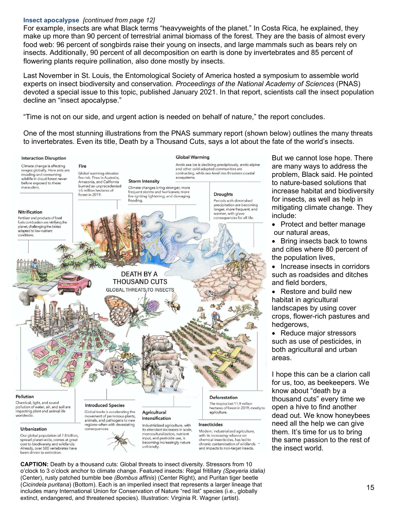#### **Insect apocalypse** *[continued from page 12]*

For example, insects are what Black terms "heavyweights of the planet." In Costa Rica, he explained, they make up more than 90 percent of terrestrial animal biomass of the forest. They are the basis of almost every food web: 96 percent of songbirds raise their young on insects, and large mammals such as bears rely on insects. Additionally, 90 percent of all decomposition on earth is done by invertebrates and 85 percent of flowering plants require pollination, also done mostly by insects.

Last November in St. Louis, the Entomological Society of America hosted a symposium to assemble world experts on insect biodiversity and conservation. *Proceedings of the National Academy of Sciences* (PNAS) devoted a special issue to this topic, published January 2021. In that report, scientists call the insect population decline an "insect apocalypse."

"Time is not on our side, and urgent action is needed on behalf of nature," the report concludes.

One of the most stunning illustrations from the PNAS summary report (shown below) outlines the many threats to invertebrates. Even its title, Death by a Thousand Cuts, says a lot about the fate of the world's insects.



But we cannot lose hope. There are many ways to address the problem, Black said. He pointed to nature-based solutions that increase habitat and biodiversity for insects, as well as help in mitigating climate change. They include:

- Protect and better manage our natural areas,
- Bring insects back to towns and cities where 80 percent of the population lives,
- Increase insects in corridors such as roadsides and ditches and field borders,
- Restore and build new habitat in agricultural landscapes by using cover crops, flower-rich pastures and hedgerows,
- Reduce major stressors such as use of pesticides, in both agricultural and urban areas.

I hope this can be a clarion call for us, too, as beekeepers. We know about "death by a thousand cuts" every time we open a hive to find another dead out. We know honeybees need all the help we can give them. It's time for us to bring the same passion to the rest of the insect world.

**CAPTION:** Death by a thousand cuts: Global threats to insect diversity. Stressors from 10 o'clock to 3 o'clock anchor to climate change. Featured insects: Regal fritillary *(Speyeria idalia)* (Center), rusty patched bumble bee *(Bombus affinis*) (Center Right), and Puritan tiger beetle (*Cicindela puritana*) (Bottom). Each is an imperiled insect that represents a larger lineage that includes many International Union for Conservation of Nature "red list" species (i.e., globally extinct, endangered, and threatened species). Illustration: Virginia R. Wagner (artist).

been driven to extinction